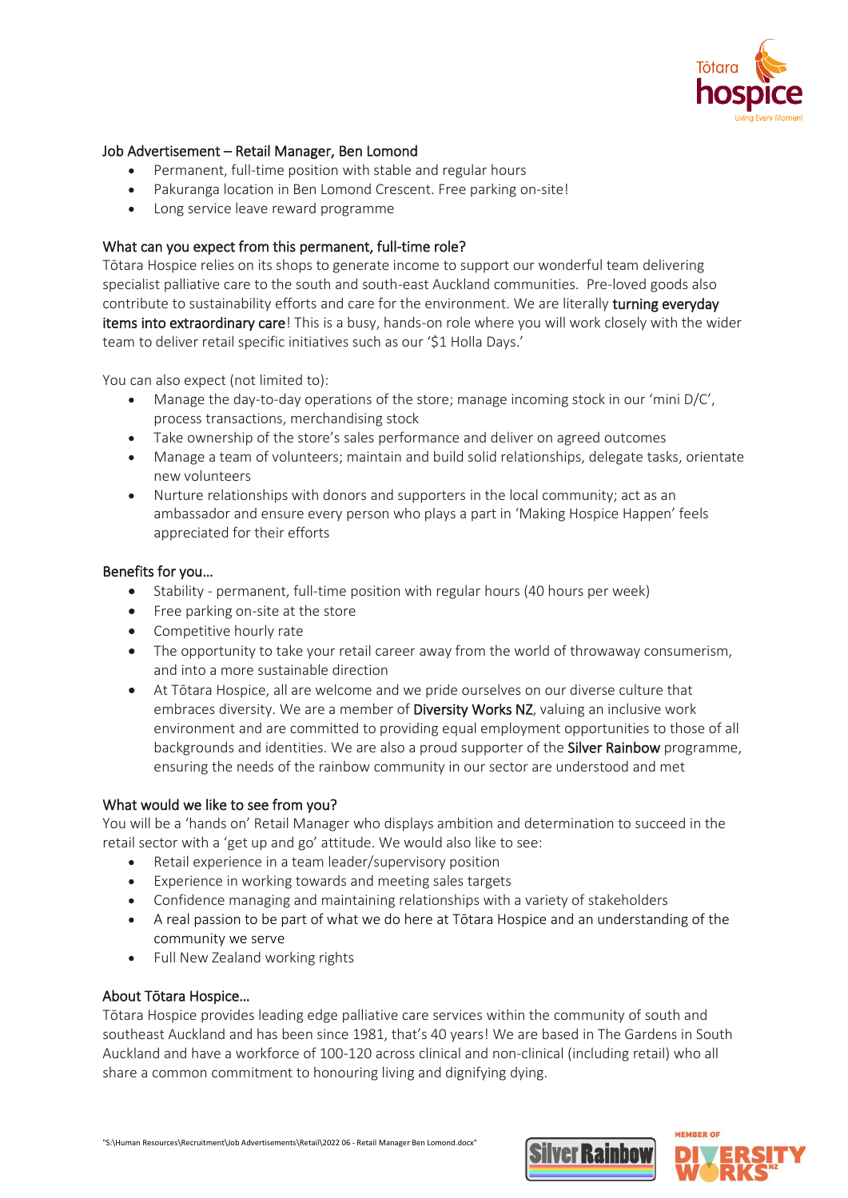

# Job Advertisement – Retail Manager, Ben Lomond

- Permanent, full-time position with stable and regular hours
- Pakuranga location in Ben Lomond Crescent. Free parking on-site!
- Long service leave reward programme

### What can you expect from this permanent, full-time role?

Tōtara Hospice relies on its shops to generate income to support our wonderful team delivering specialist palliative care to the south and south-east Auckland communities. Pre-loved goods also contribute to sustainability efforts and care for the environment. We are literally turning everyday items into extraordinary care! This is a busy, hands-on role where you will work closely with the wider team to deliver retail specific initiatives such as our '\$1 Holla Days.'

You can also expect (not limited to):

- Manage the day-to-day operations of the store; manage incoming stock in our 'mini D/C', process transactions, merchandising stock
- Take ownership of the store's sales performance and deliver on agreed outcomes
- Manage a team of volunteers; maintain and build solid relationships, delegate tasks, orientate new volunteers
- Nurture relationships with donors and supporters in the local community; act as an ambassador and ensure every person who plays a part in 'Making Hospice Happen' feels appreciated for their efforts

#### Benefits for you…

- Stability permanent, full-time position with regular hours (40 hours per week)
- Free parking on-site at the store
- Competitive hourly rate
- The opportunity to take your retail career away from the world of throwaway consumerism, and into a more sustainable direction
- At Tōtara Hospice, all are welcome and we pride ourselves on our diverse culture that embraces diversity. We are a member of Diversity Works NZ, valuing an inclusive work environment and are committed to providing equal employment opportunities to those of all backgrounds and identities. We are also a proud supporter of the Silver Rainbow programme, ensuring the needs of the rainbow community in our sector are understood and met

#### What would we like to see from you?

You will be a 'hands on' Retail Manager who displays ambition and determination to succeed in the retail sector with a 'get up and go' attitude. We would also like to see:

- Retail experience in a team leader/supervisory position
- Experience in working towards and meeting sales targets
- Confidence managing and maintaining relationships with a variety of stakeholders
- A real passion to be part of what we do here at Tōtara Hospice and an understanding of the community we serve
- Full New Zealand working rights

#### About Tōtara Hospice…

Tōtara Hospice provides leading edge palliative care services within the community of south and southeast Auckland and has been since 1981, that's 40 years! We are based in The Gardens in South Auckland and have a workforce of 100-120 across clinical and non-clinical (including retail) who all share a common commitment to honouring living and dignifying dying.